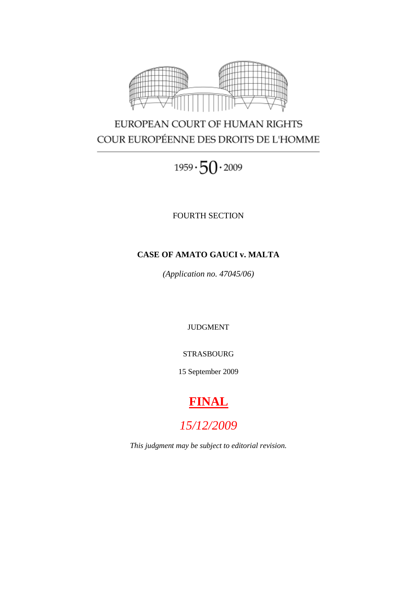

# EUROPEAN COURT OF HUMAN RIGHTS COUR EUROPÉENNE DES DROITS DE L'HOMME

 $1959 \cdot 50 \cdot 2009$ 

FOURTH SECTION

# **CASE OF AMATO GAUCI v. MALTA**

*(Application no. 47045/06)*

JUDGMENT

STRASBOURG

15 September 2009

# **FINAL**

*15/12/2009*

*This judgment may be subject to editorial revision.*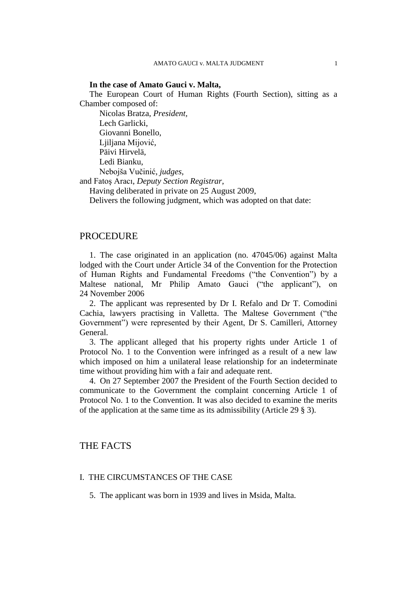#### **In the case of Amato Gauci v. Malta,**

The European Court of Human Rights (Fourth Section), sitting as a Chamber composed of:

Nicolas Bratza, *President,* Lech Garlicki, Giovanni Bonello, Liiliana Mijović, Päivi Hirvelä, Ledi Bianku, Nebojša Vučinić, *judges*,

and Fatoş Aracı, *Deputy Section Registrar*,

Having deliberated in private on 25 August 2009,

Delivers the following judgment, which was adopted on that date:

# PROCEDURE

1. The case originated in an application (no. 47045/06) against Malta lodged with the Court under Article 34 of the Convention for the Protection of Human Rights and Fundamental Freedoms ("the Convention") by a Maltese national, Mr Philip Amato Gauci ("the applicant"), on 24 November 2006

2. The applicant was represented by Dr I. Refalo and Dr T. Comodini Cachia, lawyers practising in Valletta. The Maltese Government ("the Government") were represented by their Agent, Dr S. Camilleri, Attorney General.

3. The applicant alleged that his property rights under Article 1 of Protocol No. 1 to the Convention were infringed as a result of a new law which imposed on him a unilateral lease relationship for an indeterminate time without providing him with a fair and adequate rent.

4. On 27 September 2007 the President of the Fourth Section decided to communicate to the Government the complaint concerning Article 1 of Protocol No. 1 to the Convention. It was also decided to examine the merits of the application at the same time as its admissibility (Article 29 § 3).

# THE FACTS

# I. THE CIRCUMSTANCES OF THE CASE

5. The applicant was born in 1939 and lives in Msida, Malta.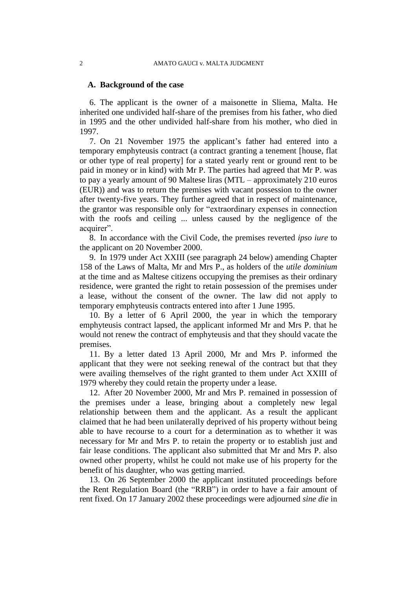#### **A. Background of the case**

6. The applicant is the owner of a maisonette in Sliema, Malta. He inherited one undivided half-share of the premises from his father, who died in 1995 and the other undivided half-share from his mother, who died in 1997.

7. On 21 November 1975 the applicant's father had entered into a temporary emphyteusis contract (a contract granting a tenement [house, flat or other type of real property] for a stated yearly rent or ground rent to be paid in money or in kind) with Mr P. The parties had agreed that Mr P. was to pay a yearly amount of 90 Maltese liras (MTL – approximately 210 euros (EUR)) and was to return the premises with vacant possession to the owner after twenty-five years. They further agreed that in respect of maintenance, the grantor was responsible only for "extraordinary expenses in connection with the roofs and ceiling ... unless caused by the negligence of the acquirer".

8. In accordance with the Civil Code, the premises reverted *ipso iure* to the applicant on 20 November 2000.

9. In 1979 under Act XXIII (see paragraph 24 below) amending Chapter 158 of the Laws of Malta, Mr and Mrs P., as holders of the *utile dominium* at the time and as Maltese citizens occupying the premises as their ordinary residence, were granted the right to retain possession of the premises under a lease, without the consent of the owner. The law did not apply to temporary emphyteusis contracts entered into after 1 June 1995.

10. By a letter of 6 April 2000, the year in which the temporary emphyteusis contract lapsed, the applicant informed Mr and Mrs P. that he would not renew the contract of emphyteusis and that they should vacate the premises.

11. By a letter dated 13 April 2000, Mr and Mrs P. informed the applicant that they were not seeking renewal of the contract but that they were availing themselves of the right granted to them under Act XXIII of 1979 whereby they could retain the property under a lease.

12. After 20 November 2000, Mr and Mrs P. remained in possession of the premises under a lease, bringing about a completely new legal relationship between them and the applicant. As a result the applicant claimed that he had been unilaterally deprived of his property without being able to have recourse to a court for a determination as to whether it was necessary for Mr and Mrs P. to retain the property or to establish just and fair lease conditions. The applicant also submitted that Mr and Mrs P. also owned other property, whilst he could not make use of his property for the benefit of his daughter, who was getting married.

13. On 26 September 2000 the applicant instituted proceedings before the Rent Regulation Board (the "RRB") in order to have a fair amount of rent fixed. On 17 January 2002 these proceedings were adjourned *sine die* in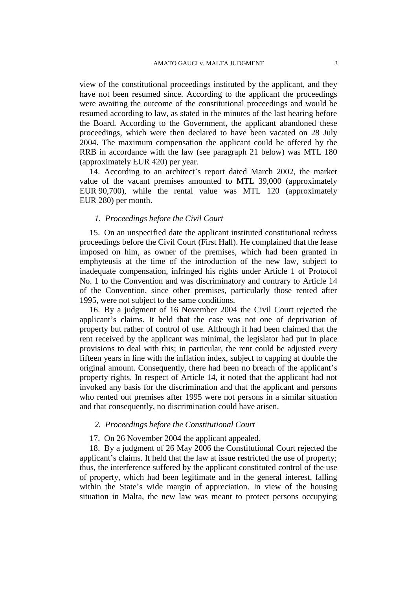view of the constitutional proceedings instituted by the applicant, and they have not been resumed since. According to the applicant the proceedings were awaiting the outcome of the constitutional proceedings and would be resumed according to law, as stated in the minutes of the last hearing before the Board. According to the Government, the applicant abandoned these proceedings, which were then declared to have been vacated on 28 July 2004. The maximum compensation the applicant could be offered by the RRB in accordance with the law (see paragraph 21 below) was MTL 180 (approximately EUR 420) per year.

14. According to an architect's report dated March 2002, the market value of the vacant premises amounted to MTL 39,000 (approximately EUR 90,700), while the rental value was MTL 120 (approximately EUR 280) per month.

# *1. Proceedings before the Civil Court*

15. On an unspecified date the applicant instituted constitutional redress proceedings before the Civil Court (First Hall). He complained that the lease imposed on him, as owner of the premises, which had been granted in emphyteusis at the time of the introduction of the new law, subject to inadequate compensation, infringed his rights under Article 1 of Protocol No. 1 to the Convention and was discriminatory and contrary to Article 14 of the Convention, since other premises, particularly those rented after 1995, were not subject to the same conditions.

16. By a judgment of 16 November 2004 the Civil Court rejected the applicant's claims. It held that the case was not one of deprivation of property but rather of control of use. Although it had been claimed that the rent received by the applicant was minimal, the legislator had put in place provisions to deal with this; in particular, the rent could be adjusted every fifteen years in line with the inflation index, subject to capping at double the original amount. Consequently, there had been no breach of the applicant's property rights. In respect of Article 14, it noted that the applicant had not invoked any basis for the discrimination and that the applicant and persons who rented out premises after 1995 were not persons in a similar situation and that consequently, no discrimination could have arisen.

# *2. Proceedings before the Constitutional Court*

# 17. On 26 November 2004 the applicant appealed.

18. By a judgment of 26 May 2006 the Constitutional Court rejected the applicant's claims. It held that the law at issue restricted the use of property; thus, the interference suffered by the applicant constituted control of the use of property, which had been legitimate and in the general interest, falling within the State's wide margin of appreciation. In view of the housing situation in Malta, the new law was meant to protect persons occupying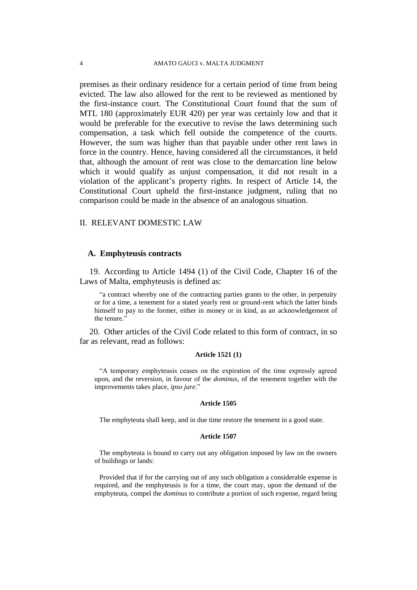premises as their ordinary residence for a certain period of time from being evicted. The law also allowed for the rent to be reviewed as mentioned by the first-instance court. The Constitutional Court found that the sum of MTL 180 (approximately EUR 420) per year was certainly low and that it would be preferable for the executive to revise the laws determining such compensation, a task which fell outside the competence of the courts. However, the sum was higher than that payable under other rent laws in force in the country. Hence, having considered all the circumstances, it held that, although the amount of rent was close to the demarcation line below which it would qualify as unjust compensation, it did not result in a violation of the applicant's property rights. In respect of Article 14, the Constitutional Court upheld the first-instance judgment, ruling that no comparison could be made in the absence of an analogous situation.

#### II. RELEVANT DOMESTIC LAW

#### **A. Emphyteusis contracts**

19. According to Article 1494 (1) of the Civil Code, Chapter 16 of the Laws of Malta, emphyteusis is defined as:

"a contract whereby one of the contracting parties grants to the other, in perpetuity or for a time, a tenement for a stated yearly rent or ground-rent which the latter binds himself to pay to the former, either in money or in kind, as an acknowledgement of the tenure."

20. Other articles of the Civil Code related to this form of contract, in so far as relevant, read as follows:

#### **Article 1521 (1)**

"A temporary emphyteusis ceases on the expiration of the time expressly agreed upon, and the reversion, in favour of the *dominus*, of the tenement together with the improvements takes place, *ipso jure*."

#### **Article 1505**

The emphyteuta shall keep, and in due time restore the tenement in a good state.

#### **Article 1507**

The emphyteuta is bound to carry out any obligation imposed by law on the owners of buildings or lands:

Provided that if for the carrying out of any such obligation a considerable expense is required, and the emphyteusis is for a time, the court may, upon the demand of the emphyteuta, compel the *dominus* to contribute a portion of such expense, regard being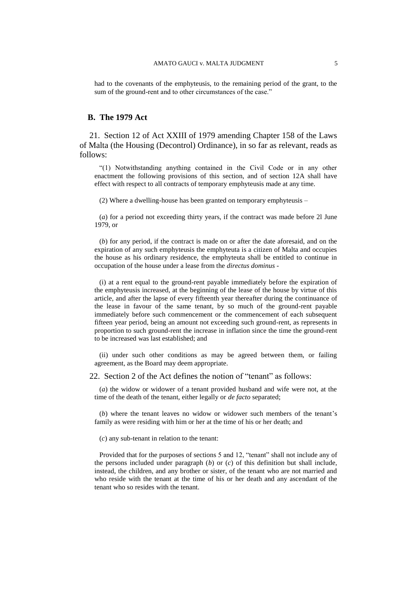had to the covenants of the emphyteusis, to the remaining period of the grant, to the sum of the ground-rent and to other circumstances of the case."

## **B. The 1979 Act**

21. Section 12 of Act XXIII of 1979 amending Chapter 158 of the Laws of Malta (the Housing (Decontrol) Ordinance), in so far as relevant, reads as follows:

"(1) Notwithstanding anything contained in the Civil Code or in any other enactment the following provisions of this section, and of section 12A shall have effect with respect to all contracts of temporary emphyteusis made at any time.

(2) Where a dwelling-house has been granted on temporary emphyteusis –

(*a*) for a period not exceeding thirty years, if the contract was made before 2l June 1979, or

(*b*) for any period, if the contract is made on or after the date aforesaid, and on the expiration of any such emphyteusis the emphyteuta is a citizen of Malta and occupies the house as his ordinary residence, the emphyteuta shall be entitled to continue in occupation of the house under a lease from the *directus dominus -*

(i) at a rent equal to the ground-rent payable immediately before the expiration of the emphyteusis increased, at the beginning of the lease of the house by virtue of this article, and after the lapse of every fifteenth year thereafter during the continuance of the lease in favour of the same tenant, by so much of the ground-rent payable immediately before such commencement or the commencement of each subsequent fifteen year period, being an amount not exceeding such ground-rent, as represents in proportion to such ground-rent the increase in inflation since the time the ground-rent to be increased was last established; and

(ii) under such other conditions as may be agreed between them, or failing agreement, as the Board may deem appropriate.

22. Section 2 of the Act defines the notion of "tenant" as follows:

(*a*) the widow or widower of a tenant provided husband and wife were not, at the time of the death of the tenant, either legally or *de facto* separated;

(*b*) where the tenant leaves no widow or widower such members of the tenant's family as were residing with him or her at the time of his or her death; and

(*c*) any sub-tenant in relation to the tenant:

Provided that for the purposes of sections 5 and 12, "tenant" shall not include any of the persons included under paragraph (*b*) or (*c*) of this definition but shall include, instead, the children, and any brother or sister, of the tenant who are not married and who reside with the tenant at the time of his or her death and any ascendant of the tenant who so resides with the tenant.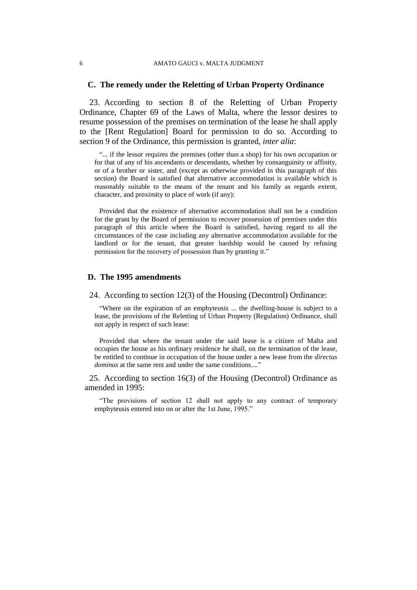#### 6 AMATO GAUCI v. MALTA JUDGMENT

## **C. The remedy under the Reletting of Urban Property Ordinance**

23. According to section 8 of the Reletting of Urban Property Ordinance, Chapter 69 of the Laws of Malta, where the lessor desires to resume possession of the premises on termination of the lease he shall apply to the [Rent Regulation] Board for permission to do so. According to section 9 of the Ordinance, this permission is granted, *inter alia*:

"... if the lessor requires the premises (other than a shop) for his own occupation or for that of any of his ascendants or descendants, whether by consanguinity or affinity, or of a brother or sister, and (except as otherwise provided in this paragraph of this section) the Board is satisfied that alternative accommodation is available which is reasonably suitable to the means of the tenant and his family as regards extent, character, and proximity to place of work (if any):

Provided that the existence of alternative accommodation shall not be a condition for the grant by the Board of permission to recover possession of premises under this paragraph of this article where the Board is satisfied, having regard to all the circumstances of the case including any alternative accommodation available for the landlord or for the tenant, that greater hardship would be caused by refusing permission for the recovery of possession than by granting it."

# **D. The 1995 amendments**

#### 24. According to section 12(3) of the Housing (Decontrol) Ordinance:

"Where on the expiration of an emphyteusis ... the dwelling-house is subject to a lease, the provisions of the Reletting of Urban Property (Regulation) Ordinance, shall not apply in respect of such lease:

Provided that where the tenant under the said lease is a citizen of Malta and occupies the house as his ordinary residence he shall, on the termination of the lease, be entitled to continue in occupation of the house under a new lease from the *directus dominus* at the same rent and under the same conditions...."

25. According to section 16(3) of the Housing (Decontrol) Ordinance as amended in 1995:

"The provisions of section 12 shall not apply to any contract of temporary emphyteusis entered into on or after the 1st June, 1995."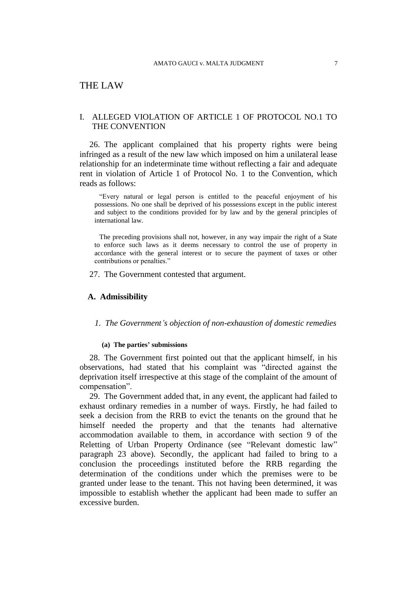# THE LAW

# I. ALLEGED VIOLATION OF ARTICLE 1 OF PROTOCOL NO.1 TO THE CONVENTION

26. The applicant complained that his property rights were being infringed as a result of the new law which imposed on him a unilateral lease relationship for an indeterminate time without reflecting a fair and adequate rent in violation of Article 1 of Protocol No. 1 to the Convention, which reads as follows:

"Every natural or legal person is entitled to the peaceful enjoyment of his possessions. No one shall be deprived of his possessions except in the public interest and subject to the conditions provided for by law and by the general principles of international law.

The preceding provisions shall not, however, in any way impair the right of a State to enforce such laws as it deems necessary to control the use of property in accordance with the general interest or to secure the payment of taxes or other contributions or penalties."

27. The Government contested that argument.

# **A. Admissibility**

# *1. The Government's objection of non-exhaustion of domestic remedies*

#### **(a) The parties' submissions**

28. The Government first pointed out that the applicant himself, in his observations, had stated that his complaint was "directed against the deprivation itself irrespective at this stage of the complaint of the amount of compensation".

29. The Government added that, in any event, the applicant had failed to exhaust ordinary remedies in a number of ways. Firstly, he had failed to seek a decision from the RRB to evict the tenants on the ground that he himself needed the property and that the tenants had alternative accommodation available to them, in accordance with section 9 of the Reletting of Urban Property Ordinance (see "Relevant domestic law" paragraph 23 above). Secondly, the applicant had failed to bring to a conclusion the proceedings instituted before the RRB regarding the determination of the conditions under which the premises were to be granted under lease to the tenant. This not having been determined, it was impossible to establish whether the applicant had been made to suffer an excessive burden.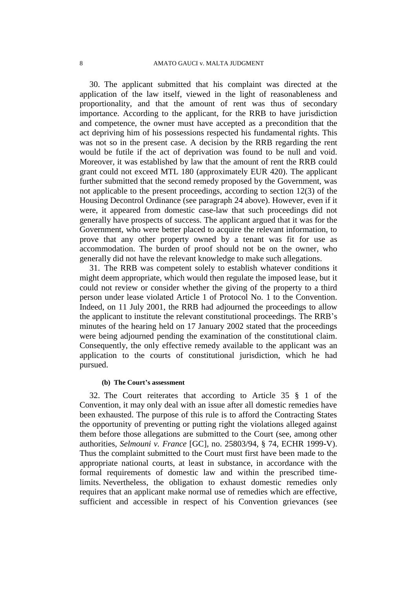30. The applicant submitted that his complaint was directed at the application of the law itself, viewed in the light of reasonableness and proportionality, and that the amount of rent was thus of secondary importance. According to the applicant, for the RRB to have jurisdiction and competence, the owner must have accepted as a precondition that the act depriving him of his possessions respected his fundamental rights. This was not so in the present case. A decision by the RRB regarding the rent would be futile if the act of deprivation was found to be null and void. Moreover, it was established by law that the amount of rent the RRB could grant could not exceed MTL 180 (approximately EUR 420). The applicant further submitted that the second remedy proposed by the Government, was not applicable to the present proceedings, according to section 12(3) of the Housing Decontrol Ordinance (see paragraph 24 above). However, even if it were, it appeared from domestic case-law that such proceedings did not generally have prospects of success. The applicant argued that it was for the Government, who were better placed to acquire the relevant information, to prove that any other property owned by a tenant was fit for use as accommodation. The burden of proof should not be on the owner, who generally did not have the relevant knowledge to make such allegations.

31. The RRB was competent solely to establish whatever conditions it might deem appropriate, which would then regulate the imposed lease, but it could not review or consider whether the giving of the property to a third person under lease violated Article 1 of Protocol No. 1 to the Convention. Indeed, on 11 July 2001, the RRB had adjourned the proceedings to allow the applicant to institute the relevant constitutional proceedings. The RRB's minutes of the hearing held on 17 January 2002 stated that the proceedings were being adjourned pending the examination of the constitutional claim. Consequently, the only effective remedy available to the applicant was an application to the courts of constitutional jurisdiction, which he had pursued.

#### **(b) The Court's assessment**

32. The Court reiterates that according to Article 35 § 1 of the Convention, it may only deal with an issue after all domestic remedies have been exhausted. The purpose of this rule is to afford the Contracting States the opportunity of preventing or putting right the violations alleged against them before those allegations are submitted to the Court (see, among other authorities, *Selmouni v. France* [GC], no. 25803/94, § 74, ECHR 1999-V). Thus the complaint submitted to the Court must first have been made to the appropriate national courts, at least in substance, in accordance with the formal requirements of domestic law and within the prescribed timelimits. Nevertheless, the obligation to exhaust domestic remedies only requires that an applicant make normal use of remedies which are effective, sufficient and accessible in respect of his Convention grievances (see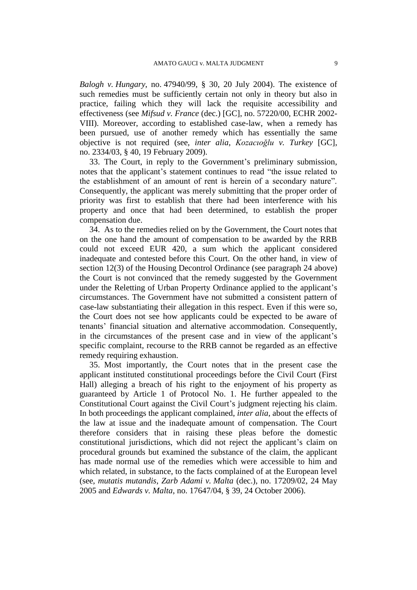*Balogh v. Hungary*, no. 47940/99, § 30, 20 July 2004). The existence of such remedies must be sufficiently certain not only in theory but also in practice, failing which they will lack the requisite accessibility and effectiveness (see *Mifsud v. France* (dec.) [GC], no. 57220/00, ECHR 2002- VIII). Moreover, according to established case-law, when a remedy has been pursued, use of another remedy which has essentially the same objective is not required (see, *inter alia*, *Kozacıoğlu v. Turkey* [GC], no. 2334/03, § 40, 19 February 2009).

33. The Court, in reply to the Government's preliminary submission, notes that the applicant's statement continues to read "the issue related to the establishment of an amount of rent is herein of a secondary nature". Consequently, the applicant was merely submitting that the proper order of priority was first to establish that there had been interference with his property and once that had been determined, to establish the proper compensation due.

34. As to the remedies relied on by the Government, the Court notes that on the one hand the amount of compensation to be awarded by the RRB could not exceed EUR 420, a sum which the applicant considered inadequate and contested before this Court. On the other hand, in view of section 12(3) of the Housing Decontrol Ordinance (see paragraph 24 above) the Court is not convinced that the remedy suggested by the Government under the Reletting of Urban Property Ordinance applied to the applicant's circumstances. The Government have not submitted a consistent pattern of case-law substantiating their allegation in this respect. Even if this were so, the Court does not see how applicants could be expected to be aware of tenants' financial situation and alternative accommodation. Consequently, in the circumstances of the present case and in view of the applicant's specific complaint, recourse to the RRB cannot be regarded as an effective remedy requiring exhaustion.

35. Most importantly, the Court notes that in the present case the applicant instituted constitutional proceedings before the Civil Court (First Hall) alleging a breach of his right to the enjoyment of his property as guaranteed by Article 1 of Protocol No. 1. He further appealed to the Constitutional Court against the Civil Court's judgment rejecting his claim. In both proceedings the applicant complained, *inter alia*, about the effects of the law at issue and the inadequate amount of compensation. The Court therefore considers that in raising these pleas before the domestic constitutional jurisdictions, which did not reject the applicant's claim on procedural grounds but examined the substance of the claim, the applicant has made normal use of the remedies which were accessible to him and which related, in substance, to the facts complained of at the European level (see, *mutatis mutandis*, *Zarb Adami v. Malta* (dec.), no. 17209/02, 24 May 2005 and *Edwards v. Malta*, no. 17647/04, § 39, 24 October 2006).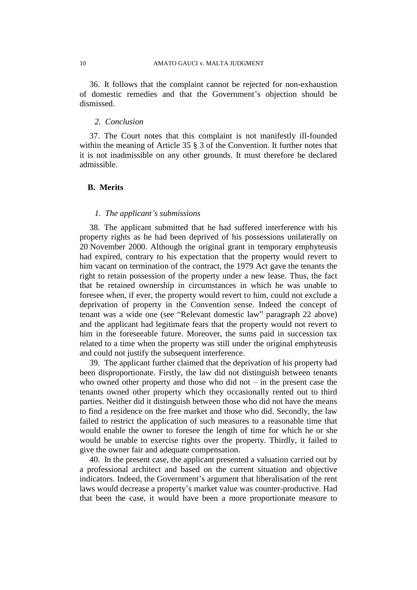36. It follows that the complaint cannot be rejected for non-exhaustion of domestic remedies and that the Government's objection should be dismissed.

# *2. Conclusion*

37. The Court notes that this complaint is not manifestly ill-founded within the meaning of Article 35  $\S$  3 of the Convention. It further notes that it is not inadmissible on any other grounds. It must therefore be declared admissible.

# **B. Merits**

#### *1. The applicant's submissions*

38. The applicant submitted that he had suffered interference with his property rights as he had been deprived of his possessions unilaterally on 20 November 2000. Although the original grant in temporary emphyteusis had expired, contrary to his expectation that the property would revert to him vacant on termination of the contract, the 1979 Act gave the tenants the right to retain possession of the property under a new lease. Thus, the fact that he retained ownership in circumstances in which he was unable to foresee when, if ever, the property would revert to him, could not exclude a deprivation of property in the Convention sense. Indeed the concept of tenant was a wide one (see "Relevant domestic law" paragraph 22 above) and the applicant had legitimate fears that the property would not revert to him in the foreseeable future. Moreover, the sums paid in succession tax related to a time when the property was still under the original emphyteusis and could not justify the subsequent interference.

39. The applicant further claimed that the deprivation of his property had been disproportionate. Firstly, the law did not distinguish between tenants who owned other property and those who did not – in the present case the tenants owned other property which they occasionally rented out to third parties. Neither did it distinguish between those who did not have the means to find a residence on the free market and those who did. Secondly, the law failed to restrict the application of such measures to a reasonable time that would enable the owner to foresee the length of time for which he or she would be unable to exercise rights over the property. Thirdly, it failed to give the owner fair and adequate compensation.

40. In the present case, the applicant presented a valuation carried out by a professional architect and based on the current situation and objective indicators. Indeed, the Government's argument that liberalisation of the rent laws would decrease a property's market value was counter-productive. Had that been the case, it would have been a more proportionate measure to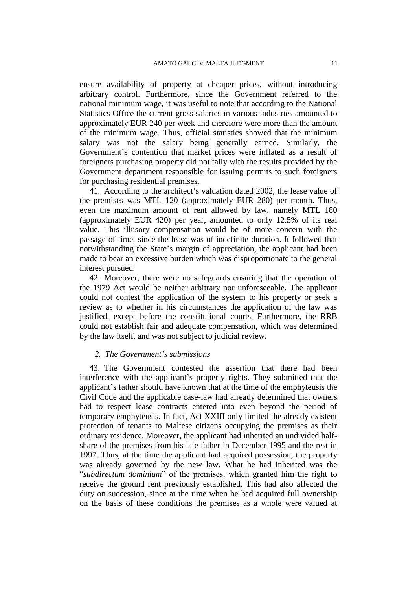ensure availability of property at cheaper prices, without introducing arbitrary control. Furthermore, since the Government referred to the national minimum wage, it was useful to note that according to the National Statistics Office the current gross salaries in various industries amounted to approximately EUR 240 per week and therefore were more than the amount of the minimum wage. Thus, official statistics showed that the minimum salary was not the salary being generally earned. Similarly, the Government's contention that market prices were inflated as a result of foreigners purchasing property did not tally with the results provided by the Government department responsible for issuing permits to such foreigners for purchasing residential premises.

41. According to the architect's valuation dated 2002, the lease value of the premises was MTL 120 (approximately EUR 280) per month. Thus, even the maximum amount of rent allowed by law, namely MTL 180 (approximately EUR 420) per year, amounted to only 12.5% of its real value. This illusory compensation would be of more concern with the passage of time, since the lease was of indefinite duration. It followed that notwithstanding the State's margin of appreciation, the applicant had been made to bear an excessive burden which was disproportionate to the general interest pursued.

42. Moreover, there were no safeguards ensuring that the operation of the 1979 Act would be neither arbitrary nor unforeseeable. The applicant could not contest the application of the system to his property or seek a review as to whether in his circumstances the application of the law was justified, except before the constitutional courts. Furthermore, the RRB could not establish fair and adequate compensation, which was determined by the law itself, and was not subject to judicial review.

# *2. The Government's submissions*

43. The Government contested the assertion that there had been interference with the applicant's property rights. They submitted that the applicant's father should have known that at the time of the emphyteusis the Civil Code and the applicable case-law had already determined that owners had to respect lease contracts entered into even beyond the period of temporary emphyteusis. In fact, Act XXIII only limited the already existent protection of tenants to Maltese citizens occupying the premises as their ordinary residence. Moreover, the applicant had inherited an undivided halfshare of the premises from his late father in December 1995 and the rest in 1997. Thus, at the time the applicant had acquired possession, the property was already governed by the new law. What he had inherited was the "*subdirectum dominium*" of the premises, which granted him the right to receive the ground rent previously established. This had also affected the duty on succession, since at the time when he had acquired full ownership on the basis of these conditions the premises as a whole were valued at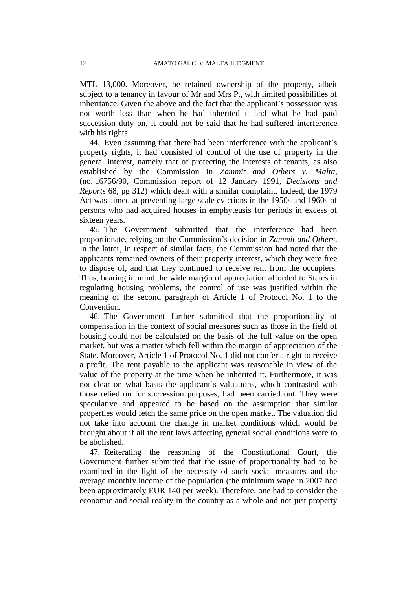MTL 13,000. Moreover, he retained ownership of the property, albeit subject to a tenancy in favour of Mr and Mrs P., with limited possibilities of inheritance. Given the above and the fact that the applicant's possession was not worth less than when he had inherited it and what he had paid succession duty on, it could not be said that he had suffered interference with his rights.

44. Even assuming that there had been interference with the applicant's property rights, it had consisted of control of the use of property in the general interest, namely that of protecting the interests of tenants, as also established by the Commission in *Zammit and Others v. Malta*, (no. 16756/90, Commission report of 12 January 1991, *Decisions and Reports* 68, pg 312) which dealt with a similar complaint. Indeed, the 1979 Act was aimed at preventing large scale evictions in the 1950s and 1960s of persons who had acquired houses in emphyteusis for periods in excess of sixteen years.

45. The Government submitted that the interference had been proportionate, relying on the Commission's decision in *Zammit and Others*. In the latter, in respect of similar facts, the Commission had noted that the applicants remained owners of their property interest, which they were free to dispose of, and that they continued to receive rent from the occupiers. Thus, bearing in mind the wide margin of appreciation afforded to States in regulating housing problems, the control of use was justified within the meaning of the second paragraph of Article 1 of Protocol No. 1 to the Convention.

46. The Government further submitted that the proportionality of compensation in the context of social measures such as those in the field of housing could not be calculated on the basis of the full value on the open market, but was a matter which fell within the margin of appreciation of the State. Moreover, Article 1 of Protocol No. 1 did not confer a right to receive a profit. The rent payable to the applicant was reasonable in view of the value of the property at the time when he inherited it. Furthermore, it was not clear on what basis the applicant's valuations, which contrasted with those relied on for succession purposes, had been carried out. They were speculative and appeared to be based on the assumption that similar properties would fetch the same price on the open market. The valuation did not take into account the change in market conditions which would be brought about if all the rent laws affecting general social conditions were to be abolished.

47. Reiterating the reasoning of the Constitutional Court, the Government further submitted that the issue of proportionality had to be examined in the light of the necessity of such social measures and the average monthly income of the population (the minimum wage in 2007 had been approximately EUR 140 per week). Therefore, one had to consider the economic and social reality in the country as a whole and not just property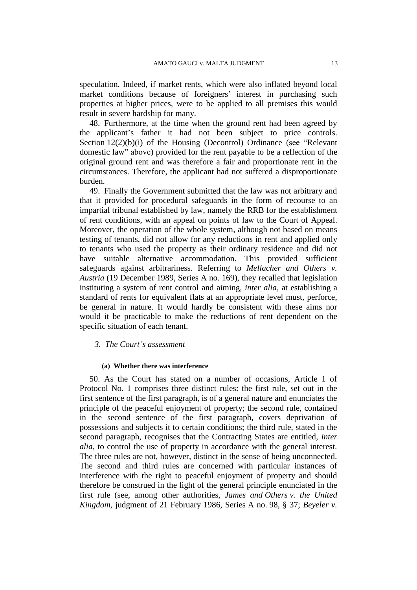speculation. Indeed, if market rents, which were also inflated beyond local market conditions because of foreigners' interest in purchasing such properties at higher prices, were to be applied to all premises this would result in severe hardship for many.

48. Furthermore, at the time when the ground rent had been agreed by the applicant's father it had not been subject to price controls. Section 12(2)(b)(i) of the Housing (Decontrol) Ordinance (see "Relevant domestic law" above) provided for the rent payable to be a reflection of the original ground rent and was therefore a fair and proportionate rent in the circumstances. Therefore, the applicant had not suffered a disproportionate burden.

49. Finally the Government submitted that the law was not arbitrary and that it provided for procedural safeguards in the form of recourse to an impartial tribunal established by law, namely the RRB for the establishment of rent conditions, with an appeal on points of law to the Court of Appeal. Moreover, the operation of the whole system, although not based on means testing of tenants, did not allow for any reductions in rent and applied only to tenants who used the property as their ordinary residence and did not have suitable alternative accommodation. This provided sufficient safeguards against arbitrariness. Referring to *Mellacher and Others v. Austria* (19 December 1989, Series A no. 169), they recalled that legislation instituting a system of rent control and aiming, *inter alia*, at establishing a standard of rents for equivalent flats at an appropriate level must, perforce, be general in nature. It would hardly be consistent with these aims nor would it be practicable to make the reductions of rent dependent on the specific situation of each tenant.

#### *3. The Court's assessment*

#### **(a) Whether there was interference**

50. As the Court has stated on a number of occasions, Article 1 of Protocol No. 1 comprises three distinct rules: the first rule, set out in the first sentence of the first paragraph, is of a general nature and enunciates the principle of the peaceful enjoyment of property; the second rule, contained in the second sentence of the first paragraph, covers deprivation of possessions and subjects it to certain conditions; the third rule, stated in the second paragraph, recognises that the Contracting States are entitled, *inter alia*, to control the use of property in accordance with the general interest. The three rules are not, however, distinct in the sense of being unconnected. The second and third rules are concerned with particular instances of interference with the right to peaceful enjoyment of property and should therefore be construed in the light of the general principle enunciated in the first rule (see, among other authorities*, James and Others v. the United Kingdom*, judgment of 21 February 1986, Series A no. 98, § 37; *Beyeler v.*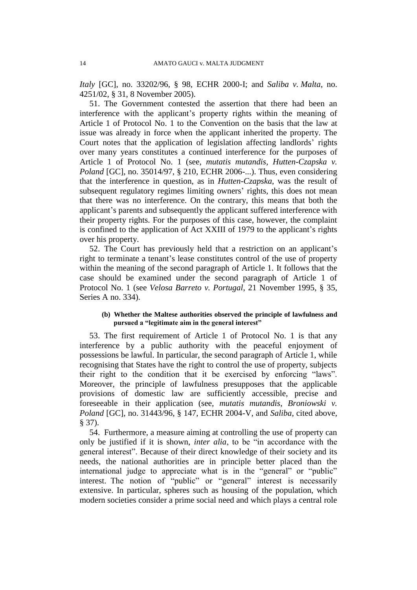*Italy* [GC], no. 33202/96, § 98, ECHR 2000-I; and *Saliba v. Malta*, no. 4251/02, § 31, 8 November 2005).

51. The Government contested the assertion that there had been an interference with the applicant's property rights within the meaning of Article 1 of Protocol No. 1 to the Convention on the basis that the law at issue was already in force when the applicant inherited the property. The Court notes that the application of legislation affecting landlords' rights over many years constitutes a continued interference for the purposes of Article 1 of Protocol No. 1 (see, *mutatis mutandis*, *Hutten-Czapska v. Poland* [GC], no. 35014/97, § 210, ECHR 2006-...). Thus, even considering that the interference in question, as in *Hutten-Czapska*, was the result of subsequent regulatory regimes limiting owners' rights, this does not mean that there was no interference. On the contrary, this means that both the applicant's parents and subsequently the applicant suffered interference with their property rights. For the purposes of this case, however, the complaint is confined to the application of Act XXIII of 1979 to the applicant's rights over his property.

52. The Court has previously held that a restriction on an applicant's right to terminate a tenant's lease constitutes control of the use of property within the meaning of the second paragraph of Article 1. It follows that the case should be examined under the second paragraph of Article 1 of Protocol No. 1 (see *Velosa Barreto v. Portugal*, 21 November 1995, § 35, Series A no. 334).

### **(b) Whether the Maltese authorities observed the principle of lawfulness and pursued a "legitimate aim in the general interest"**

53. The first requirement of Article 1 of Protocol No. 1 is that any interference by a public authority with the peaceful enjoyment of possessions be lawful. In particular, the second paragraph of Article 1, while recognising that States have the right to control the use of property, subjects their right to the condition that it be exercised by enforcing "laws". Moreover, the principle of lawfulness presupposes that the applicable provisions of domestic law are sufficiently accessible, precise and foreseeable in their application (see, *mutatis mutandis*, *Broniowski v. Poland* [GC], no. 31443/96, § 147, ECHR 2004-V, and *Saliba*, cited above*,*  § 37).

54. Furthermore, a measure aiming at controlling the use of property can only be justified if it is shown, *inter alia*, to be "in accordance with the general interest". Because of their direct knowledge of their society and its needs, the national authorities are in principle better placed than the international judge to appreciate what is in the "general" or "public" interest. The notion of "public" or "general" interest is necessarily extensive. In particular, spheres such as housing of the population, which modern societies consider a prime social need and which plays a central role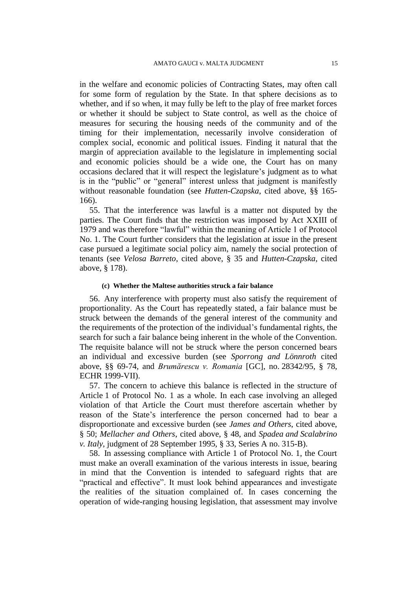in the welfare and economic policies of Contracting States, may often call for some form of regulation by the State. In that sphere decisions as to whether, and if so when, it may fully be left to the play of free market forces or whether it should be subject to State control, as well as the choice of measures for securing the housing needs of the community and of the timing for their implementation, necessarily involve consideration of complex social, economic and political issues. Finding it natural that the margin of appreciation available to the legislature in implementing social and economic policies should be a wide one, the Court has on many occasions declared that it will respect the legislature's judgment as to what is in the "public" or "general" interest unless that judgment is manifestly without reasonable foundation (see *Hutten-Czapska*, cited above, §§ 165- 166).

55. That the interference was lawful is a matter not disputed by the parties. The Court finds that the restriction was imposed by Act XXIII of 1979 and was therefore "lawful" within the meaning of Article 1 of Protocol No. 1. The Court further considers that the legislation at issue in the present case pursued a legitimate social policy aim, namely the social protection of tenants (see *Velosa Barreto*, cited above, § 35 and *Hutten-Czapska,* cited above, § 178).

#### **(c) Whether the Maltese authorities struck a fair balance**

56. Any interference with property must also satisfy the requirement of proportionality. As the Court has repeatedly stated, a fair balance must be struck between the demands of the general interest of the community and the requirements of the protection of the individual's fundamental rights, the search for such a fair balance being inherent in the whole of the Convention. The requisite balance will not be struck where the person concerned bears an individual and excessive burden (see *Sporrong and Lönnroth* cited above, §§ 69-74, and *Brumărescu v. Romania* [GC], no. 28342/95, § 78, ECHR 1999-VII).

57. The concern to achieve this balance is reflected in the structure of Article 1 of Protocol No. 1 as a whole. In each case involving an alleged violation of that Article the Court must therefore ascertain whether by reason of the State's interference the person concerned had to bear a disproportionate and excessive burden (see *James and Others*, cited above, § 50; *Mellacher and Others*, cited above, § 48, and *Spadea and Scalabrino v. Italy*, judgment of 28 September 1995, § 33, Series A no. 315-B).

58. In assessing compliance with Article 1 of Protocol No. 1, the Court must make an overall examination of the various interests in issue, bearing in mind that the Convention is intended to safeguard rights that are "practical and effective". It must look behind appearances and investigate the realities of the situation complained of. In cases concerning the operation of wide-ranging housing legislation, that assessment may involve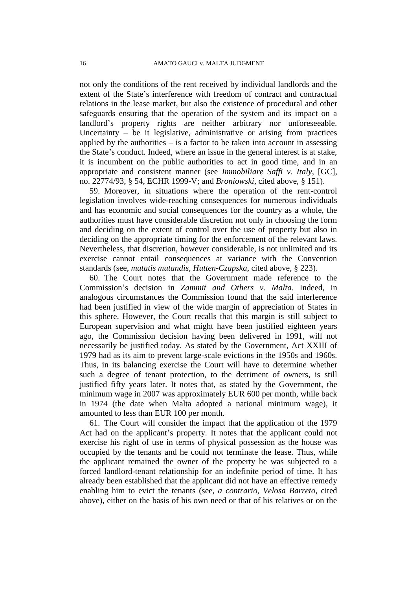not only the conditions of the rent received by individual landlords and the extent of the State's interference with freedom of contract and contractual relations in the lease market, but also the existence of procedural and other safeguards ensuring that the operation of the system and its impact on a landlord's property rights are neither arbitrary nor unforeseeable. Uncertainty – be it legislative, administrative or arising from practices applied by the authorities  $-$  is a factor to be taken into account in assessing the State's conduct. Indeed, where an issue in the general interest is at stake, it is incumbent on the public authorities to act in good time, and in an appropriate and consistent manner (see *Immobiliare Saffi v. Italy*, [GC], no. 22774/93, § 54, ECHR 1999-V; and *Broniowski*, cited above, § 151).

59. Moreover, in situations where the operation of the rent-control legislation involves wide-reaching consequences for numerous individuals and has economic and social consequences for the country as a whole, the authorities must have considerable discretion not only in choosing the form and deciding on the extent of control over the use of property but also in deciding on the appropriate timing for the enforcement of the relevant laws. Nevertheless, that discretion, however considerable, is not unlimited and its exercise cannot entail consequences at variance with the Convention standards (see, *mutatis mutandis*, *Hutten-Czapska*, cited above, § 223).

60. The Court notes that the Government made reference to the Commission's decision in *Zammit and Others v. Malta*. Indeed, in analogous circumstances the Commission found that the said interference had been justified in view of the wide margin of appreciation of States in this sphere. However, the Court recalls that this margin is still subject to European supervision and what might have been justified eighteen years ago, the Commission decision having been delivered in 1991, will not necessarily be justified today. As stated by the Government, Act XXIII of 1979 had as its aim to prevent large-scale evictions in the 1950s and 1960s. Thus, in its balancing exercise the Court will have to determine whether such a degree of tenant protection, to the detriment of owners, is still justified fifty years later. It notes that, as stated by the Government, the minimum wage in 2007 was approximately EUR 600 per month, while back in 1974 (the date when Malta adopted a national minimum wage), it amounted to less than EUR 100 per month.

61. The Court will consider the impact that the application of the 1979 Act had on the applicant's property. It notes that the applicant could not exercise his right of use in terms of physical possession as the house was occupied by the tenants and he could not terminate the lease. Thus, while the applicant remained the owner of the property he was subjected to a forced landlord-tenant relationship for an indefinite period of time. It has already been established that the applicant did not have an effective remedy enabling him to evict the tenants (see, *a contrario*, *Velosa Barreto*, cited above), either on the basis of his own need or that of his relatives or on the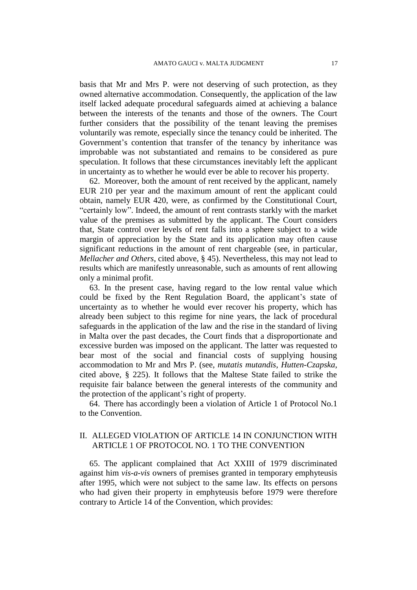basis that Mr and Mrs P. were not deserving of such protection, as they owned alternative accommodation. Consequently, the application of the law itself lacked adequate procedural safeguards aimed at achieving a balance between the interests of the tenants and those of the owners. The Court further considers that the possibility of the tenant leaving the premises voluntarily was remote, especially since the tenancy could be inherited. The Government's contention that transfer of the tenancy by inheritance was improbable was not substantiated and remains to be considered as pure speculation. It follows that these circumstances inevitably left the applicant in uncertainty as to whether he would ever be able to recover his property.

62. Moreover, both the amount of rent received by the applicant, namely EUR 210 per year and the maximum amount of rent the applicant could obtain, namely EUR 420, were, as confirmed by the Constitutional Court, "certainly low". Indeed, the amount of rent contrasts starkly with the market value of the premises as submitted by the applicant. The Court considers that, State control over levels of rent falls into a sphere subject to a wide margin of appreciation by the State and its application may often cause significant reductions in the amount of rent chargeable (see, in particular*, Mellacher and Others*, cited above, § 45). Nevertheless, this may not lead to results which are manifestly unreasonable, such as amounts of rent allowing only a minimal profit.

63. In the present case, having regard to the low rental value which could be fixed by the Rent Regulation Board, the applicant's state of uncertainty as to whether he would ever recover his property, which has already been subject to this regime for nine years, the lack of procedural safeguards in the application of the law and the rise in the standard of living in Malta over the past decades, the Court finds that a disproportionate and excessive burden was imposed on the applicant. The latter was requested to bear most of the social and financial costs of supplying housing accommodation to Mr and Mrs P. (see, *mutatis mutandis*, *Hutten-Czapska*, cited above, § 225). It follows that the Maltese State failed to strike the requisite fair balance between the general interests of the community and the protection of the applicant's right of property.

64. There has accordingly been a violation of Article 1 of Protocol No.1 to the Convention.

# II. ALLEGED VIOLATION OF ARTICLE 14 IN CONJUNCTION WITH ARTICLE 1 OF PROTOCOL NO. 1 TO THE CONVENTION

65. The applicant complained that Act XXIII of 1979 discriminated against him *vis-a-vis* owners of premises granted in temporary emphyteusis after 1995, which were not subject to the same law. Its effects on persons who had given their property in emphyteusis before 1979 were therefore contrary to Article 14 of the Convention, which provides: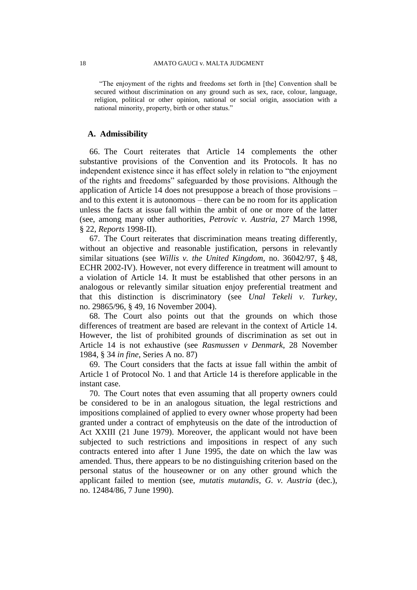"The enjoyment of the rights and freedoms set forth in [the] Convention shall be secured without discrimination on any ground such as sex, race, colour, language, religion, political or other opinion, national or social origin, association with a national minority, property, birth or other status."

# **A. Admissibility**

66. The Court reiterates that Article 14 complements the other substantive provisions of the Convention and its Protocols. It has no independent existence since it has effect solely in relation to "the enjoyment of the rights and freedoms" safeguarded by those provisions. Although the application of Article 14 does not presuppose a breach of those provisions – and to this extent it is autonomous – there can be no room for its application unless the facts at issue fall within the ambit of one or more of the latter (see, among many other authorities, *Petrovic v. Austria,* 27 March 1998, § 22, *Reports* 1998-II).

67. The Court reiterates that discrimination means treating differently, without an objective and reasonable justification, persons in relevantly similar situations (see *Willis v. the United Kingdom*, no. 36042/97, § 48, ECHR 2002-IV). However, not every difference in treatment will amount to a violation of Article 14. It must be established that other persons in an analogous or relevantly similar situation enjoy preferential treatment and that this distinction is discriminatory (see *Unal Tekeli v. Turkey*, no. 29865/96, § 49, 16 November 2004).

68. The Court also points out that the grounds on which those differences of treatment are based are relevant in the context of Article 14. However, the list of prohibited grounds of discrimination as set out in Article 14 is not exhaustive (see *Rasmussen v Denmark*, 28 November 1984, § 34 *in fine*, Series A no. 87)

69. The Court considers that the facts at issue fall within the ambit of Article 1 of Protocol No. 1 and that Article 14 is therefore applicable in the instant case.

70. The Court notes that even assuming that all property owners could be considered to be in an analogous situation, the legal restrictions and impositions complained of applied to every owner whose property had been granted under a contract of emphyteusis on the date of the introduction of Act XXIII (21 June 1979). Moreover, the applicant would not have been subjected to such restrictions and impositions in respect of any such contracts entered into after 1 June 1995, the date on which the law was amended. Thus, there appears to be no distinguishing criterion based on the personal status of the houseowner or on any other ground which the applicant failed to mention (see, *mutatis mutandis*, *G. v. Austria* (dec.), no. 12484/86, 7 June 1990).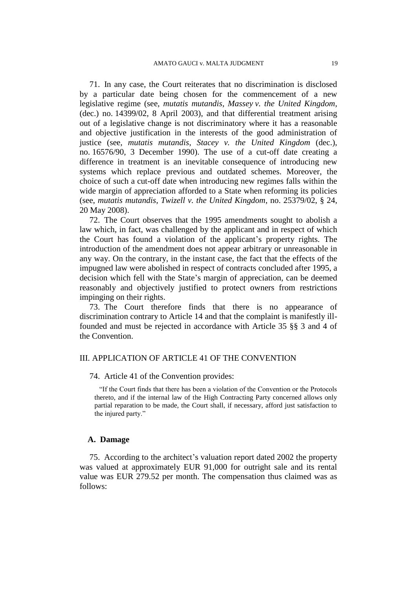71. In any case, the Court reiterates that no discrimination is disclosed by a particular date being chosen for the commencement of a new legislative regime (see, *mutatis mutandis*, *Massey v. the United Kingdom*, (dec.) no. 14399/02, 8 April 2003), and that differential treatment arising out of a legislative change is not discriminatory where it has a reasonable and objective justification in the interests of the good administration of justice (see, *mutatis mutandis*, *Stacey v. the United Kingdom* (dec.), no. 16576/90, 3 December 1990). The use of a cut-off date creating a difference in treatment is an inevitable consequence of introducing new systems which replace previous and outdated schemes. Moreover, the choice of such a cut-off date when introducing new regimes falls within the wide margin of appreciation afforded to a State when reforming its policies (see, *mutatis mutandis*, *Twizell v. the United Kingdom*, no. 25379/02, § 24, 20 May 2008).

72. The Court observes that the 1995 amendments sought to abolish a law which, in fact, was challenged by the applicant and in respect of which the Court has found a violation of the applicant's property rights. The introduction of the amendment does not appear arbitrary or unreasonable in any way. On the contrary, in the instant case, the fact that the effects of the impugned law were abolished in respect of contracts concluded after 1995, a decision which fell with the State's margin of appreciation, can be deemed reasonably and objectively justified to protect owners from restrictions impinging on their rights.

73. The Court therefore finds that there is no appearance of discrimination contrary to Article 14 and that the complaint is manifestly illfounded and must be rejected in accordance with Article 35 §§ 3 and 4 of the Convention.

#### III. APPLICATION OF ARTICLE 41 OF THE CONVENTION

74. Article 41 of the Convention provides:

"If the Court finds that there has been a violation of the Convention or the Protocols thereto, and if the internal law of the High Contracting Party concerned allows only partial reparation to be made, the Court shall, if necessary, afford just satisfaction to the injured party."

#### **A. Damage**

75. According to the architect's valuation report dated 2002 the property was valued at approximately EUR 91,000 for outright sale and its rental value was EUR 279.52 per month. The compensation thus claimed was as follows: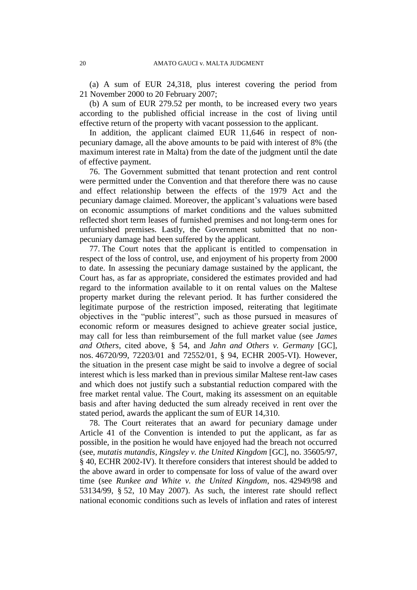(a) A sum of EUR 24,318, plus interest covering the period from 21 November 2000 to 20 February 2007;

(b) A sum of EUR 279.52 per month, to be increased every two years according to the published official increase in the cost of living until effective return of the property with vacant possession to the applicant.

In addition, the applicant claimed EUR 11,646 in respect of nonpecuniary damage, all the above amounts to be paid with interest of 8% (the maximum interest rate in Malta) from the date of the judgment until the date of effective payment.

76. The Government submitted that tenant protection and rent control were permitted under the Convention and that therefore there was no cause and effect relationship between the effects of the 1979 Act and the pecuniary damage claimed. Moreover, the applicant's valuations were based on economic assumptions of market conditions and the values submitted reflected short term leases of furnished premises and not long-term ones for unfurnished premises. Lastly, the Government submitted that no nonpecuniary damage had been suffered by the applicant.

77. The Court notes that the applicant is entitled to compensation in respect of the loss of control, use, and enjoyment of his property from 2000 to date. In assessing the pecuniary damage sustained by the applicant, the Court has, as far as appropriate, considered the estimates provided and had regard to the information available to it on rental values on the Maltese property market during the relevant period. It has further considered the legitimate purpose of the restriction imposed, reiterating that legitimate objectives in the "public interest", such as those pursued in measures of economic reform or measures designed to achieve greater social justice, may call for less than reimbursement of the full market value (see *James and Others*, cited above, § 54, and *Jahn and Others v. Germany* [GC], nos. 46720/99, 72203/01 and 72552/01, § 94, ECHR 2005-VI). However, the situation in the present case might be said to involve a degree of social interest which is less marked than in previous similar Maltese rent-law cases and which does not justify such a substantial reduction compared with the free market rental value. The Court, making its assessment on an equitable basis and after having deducted the sum already received in rent over the stated period, awards the applicant the sum of EUR 14,310.

78. The Court reiterates that an award for pecuniary damage under Article 41 of the Convention is intended to put the applicant, as far as possible, in the position he would have enjoyed had the breach not occurred (see, *mutatis mutandis*, *Kingsley v. the United Kingdom* [GC], no. 35605/97, § 40, ECHR 2002-IV). It therefore considers that interest should be added to the above award in order to compensate for loss of value of the award over time (see *Runkee and White v. the United Kingdom*, nos. 42949/98 and 53134/99, § 52, 10 May 2007). As such, the interest rate should reflect national economic conditions such as levels of inflation and rates of interest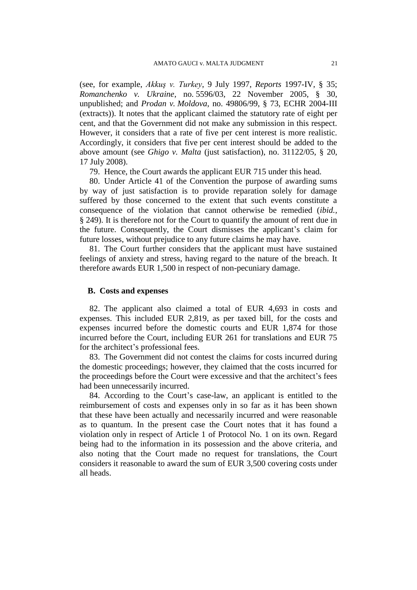(see, for example, *Akkuş v. Turkey*, 9 July 1997, *Reports* 1997-IV, § 35; *Romanchenko v. Ukraine*, no. 5596/03, 22 November 2005, § 30, unpublished; and *Prodan v. Moldova*, no. 49806/99, § 73, ECHR 2004-III (extracts)). It notes that the applicant claimed the statutory rate of eight per cent, and that the Government did not make any submission in this respect. However, it considers that a rate of five per cent interest is more realistic. Accordingly, it considers that five per cent interest should be added to the above amount (see *Ghigo v. Malta* (just satisfaction), no. 31122/05, § 20, 17 July 2008).

79. Hence, the Court awards the applicant EUR 715 under this head.

80. Under Article 41 of the Convention the purpose of awarding sums by way of just satisfaction is to provide reparation solely for damage suffered by those concerned to the extent that such events constitute a consequence of the violation that cannot otherwise be remedied (*ibid.,* § 249). It is therefore not for the Court to quantify the amount of rent due in the future. Consequently, the Court dismisses the applicant's claim for future losses, without prejudice to any future claims he may have.

81. The Court further considers that the applicant must have sustained feelings of anxiety and stress, having regard to the nature of the breach. It therefore awards EUR 1,500 in respect of non-pecuniary damage.

### **B. Costs and expenses**

82. The applicant also claimed a total of EUR 4,693 in costs and expenses. This included EUR 2,819, as per taxed bill, for the costs and expenses incurred before the domestic courts and EUR 1,874 for those incurred before the Court, including EUR 261 for translations and EUR 75 for the architect's professional fees.

83. The Government did not contest the claims for costs incurred during the domestic proceedings; however, they claimed that the costs incurred for the proceedings before the Court were excessive and that the architect's fees had been unnecessarily incurred.

84. According to the Court's case-law, an applicant is entitled to the reimbursement of costs and expenses only in so far as it has been shown that these have been actually and necessarily incurred and were reasonable as to quantum. In the present case the Court notes that it has found a violation only in respect of Article 1 of Protocol No. 1 on its own. Regard being had to the information in its possession and the above criteria, and also noting that the Court made no request for translations, the Court considers it reasonable to award the sum of EUR 3,500 covering costs under all heads.